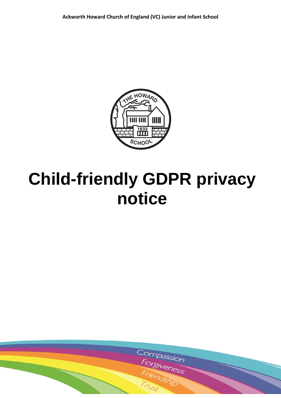

# **Child-friendly GDPR privacy notice**

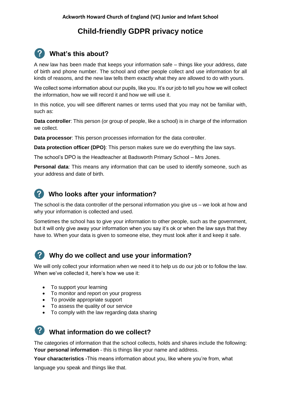# **Child-friendly GDPR privacy notice**

# **What's this about?**

A new law has been made that keeps your information safe – things like your address, date of birth and phone number. The school and other people collect and use information for all kinds of reasons, and the new law tells them exactly what they are allowed to do with yours.

We collect some information about our pupils, like you. It's our job to tell you how we will collect the information, how we will record it and how we will use it.

In this notice, you will see different names or terms used that you may not be familiar with, such as:

**Data controller**: This person (or group of people, like a school) is in charge of the information we collect.

**Data processor**: This person processes information for the data controller.

**Data protection officer (DPO)**: This person makes sure we do everything the law says.

The school's DPO is the Headteacher at Badsworth Primary School – Mrs Jones.

**Personal data**: This means any information that can be used to identify someone, such as your address and date of birth.

## **Who looks after your information?**

The school is the data controller of the personal information you give us – we look at how and why your information is collected and used.

Sometimes the school has to give your information to other people, such as the government, but it will only give away your information when you say it's ok or when the law says that they have to. When your data is given to someone else, they must look after it and keep it safe.



### **Why do we collect and use your information?**

We will only collect your information when we need it to help us do our job or to follow the law. When we've collected it, here's how we use it:

- To support your learning
- To monitor and report on your progress
- To provide appropriate support
- To assess the quality of our service
- To comply with the law regarding data sharing

# **What information do we collect?**

The categories of information that the school collects, holds and shares include the following: **Your personal information** - this is things like your name and address.

**Your characteristics -**This means information about you, like where you're from, what

language you speak and things like that.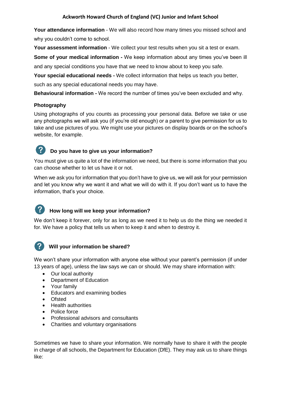#### **Ackworth Howard Church of England (VC) Junior and Infant School**

Your attendance information - We will also record how many times you missed school and why you couldn't come to school.

Your assessment information - We collect your test results when you sit a test or exam.

**Some of your medical information -** We keep information about any times you've been ill and any special conditions you have that we need to know about to keep you safe.

**Your special educational needs -** We collect information that helps us teach you better, such as any special educational needs you may have.

**Behavioural information -** We record the number of times you've been excluded and why.

#### **Photography**

Using photographs of you counts as processing your personal data. Before we take or use any photographs we will ask you (if you're old enough) or a parent to give permission for us to take and use pictures of you. We might use your pictures on display boards or on the school's website, for example.



#### **Do you have to give us your information?**

You must give us quite a lot of the information we need, but there is some information that you can choose whether to let us have it or not.

When we ask you for information that you don't have to give us, we will ask for your permission and let you know why we want it and what we will do with it. If you don't want us to have the information, that's your choice.

#### **How long will we keep your information?**

We don't keep it forever, only for as long as we need it to help us do the thing we needed it for. We have a policy that tells us when to keep it and when to destroy it.



#### **Will your information be shared?**

We won't share your information with anyone else without your parent's permission (if under 13 years of age), unless the law says we can or should. We may share information with:

- Our local authority
- Department of Education
- Your family
- Educators and examining bodies
- Ofsted
- Health authorities
- Police force
- Professional advisors and consultants
- Charities and voluntary organisations

Sometimes we have to share your information. We normally have to share it with the people in charge of all schools, the Department for Education (DfE). They may ask us to share things like: